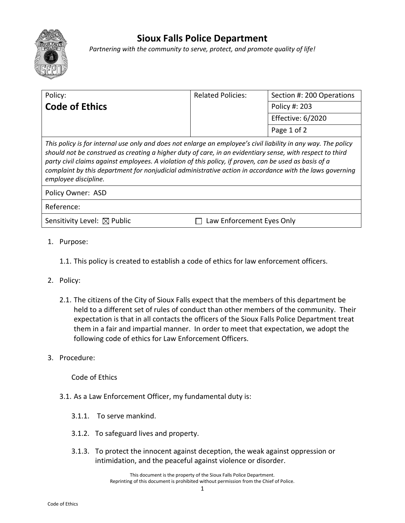

## **Sioux Falls Police Department**

*Partnering with the community to serve, protect, and promote quality of life!*

| Policy:                                                                                                                                                                                                                                                                                                                                                                                                                                                                   | <b>Related Policies:</b>  | Section #: 200 Operations |
|---------------------------------------------------------------------------------------------------------------------------------------------------------------------------------------------------------------------------------------------------------------------------------------------------------------------------------------------------------------------------------------------------------------------------------------------------------------------------|---------------------------|---------------------------|
| <b>Code of Ethics</b>                                                                                                                                                                                                                                                                                                                                                                                                                                                     |                           | Policy #: 203             |
|                                                                                                                                                                                                                                                                                                                                                                                                                                                                           |                           | Effective: 6/2020         |
|                                                                                                                                                                                                                                                                                                                                                                                                                                                                           |                           | Page 1 of 2               |
| This policy is for internal use only and does not enlarge an employee's civil liability in any way. The policy<br>should not be construed as creating a higher duty of care, in an evidentiary sense, with respect to third<br>party civil claims against employees. A violation of this policy, if proven, can be used as basis of a<br>complaint by this department for nonjudicial administrative action in accordance with the laws governing<br>employee discipline. |                           |                           |
| Policy Owner: ASD                                                                                                                                                                                                                                                                                                                                                                                                                                                         |                           |                           |
| Reference:                                                                                                                                                                                                                                                                                                                                                                                                                                                                |                           |                           |
| Sensitivity Level: $\boxtimes$ Public                                                                                                                                                                                                                                                                                                                                                                                                                                     | Law Enforcement Eyes Only |                           |
|                                                                                                                                                                                                                                                                                                                                                                                                                                                                           |                           |                           |

- 1. Purpose:
	- 1.1. This policy is created to establish a code of ethics for law enforcement officers.
- 2. Policy:
	- 2.1. The citizens of the City of Sioux Falls expect that the members of this department be held to a different set of rules of conduct than other members of the community. Their expectation is that in all contacts the officers of the Sioux Falls Police Department treat them in a fair and impartial manner. In order to meet that expectation, we adopt the following code of ethics for Law Enforcement Officers.
- 3. Procedure:

Code of Ethics

- 3.1. As a Law Enforcement Officer, my fundamental duty is:
	- 3.1.1. To serve mankind.
	- 3.1.2. To safeguard lives and property.
	- 3.1.3. To protect the innocent against deception, the weak against oppression or intimidation, and the peaceful against violence or disorder.

This document is the property of the Sioux Falls Police Department. Reprinting of this document is prohibited without permission from the Chief of Police.